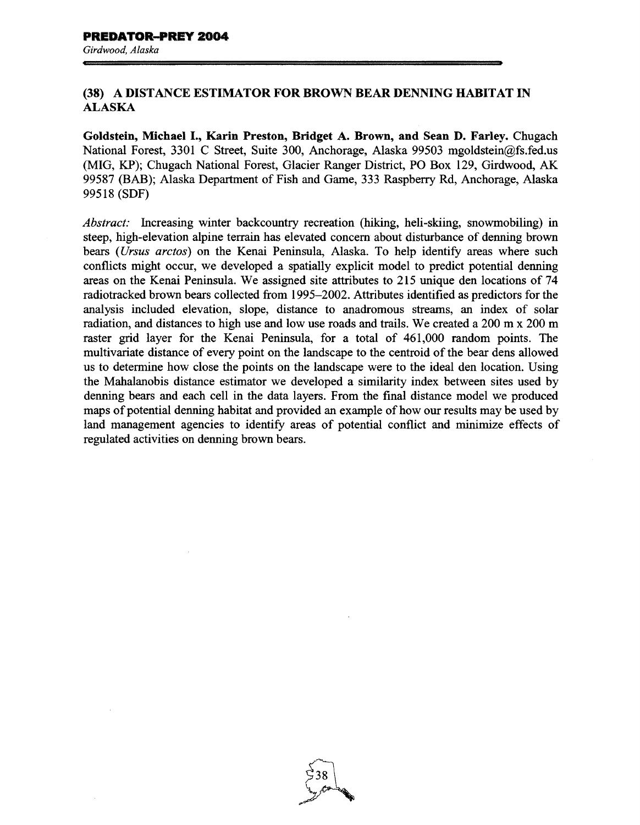## **(38) A DISTANCE ESTIMATOR FOR BROWN BEAR DENNING HABITAT** IN ALASKA

**Goldstein, Michael** I., **Karin Preston, Bridget A. Brown, and Sean D. Farley.** Chugach National Forest, 3301 C Street, Suite 300, Anchorage, Alaska 99503 mgoldstein@fs.fed.us (MIG, KP); Chugach National Forest, Glacier Ranger District, PO Box 129, Girdwood, AK 99587 (BAB); Alaska Department of Fish and Game, 333 Raspberry Rd, Anchorage, Alaska 99518 (SDF)

*Abstract:* Increasing winter backcountry recreation (hiking, heli-skiing, snowmobiling) in steep, high-elevation alpine terrain has elevated concern about disturbance of denning brown bears *(Ursus arctos)* on the Kenai Peninsula, Alaska. To help identify areas where such conflicts might occur, we developed a spatially explicit model to predict potential denning areas on the Kenai Peninsula. We assigned site attributes to 215 unique den locations of 74 radiotracked brown bears collected from 1995-2002. Attributes identified as predictors for the analysis included elevation, slope, distance to anadromous streams, an index of solar radiation, and distances to high use and low use roads and trails. We created a 200 m x 200 m raster grid layer for the Kenai Peninsula, for a total of 461,000 random points. The multivariate distance of every point on the landscape to the centroid of the bear dens allowed us to determine how close the points on the landscape were to the ideal den location. Using the Mahalanobis distance estimator we developed a similarity index between sites used by denning bears and each cell in the data layers. From the final distance model we produced maps of potential denning habitat and provided an example of how our results may be used by land management agencies to identify areas of potential conflict and minimize effects of regulated activities on denning brown bears.